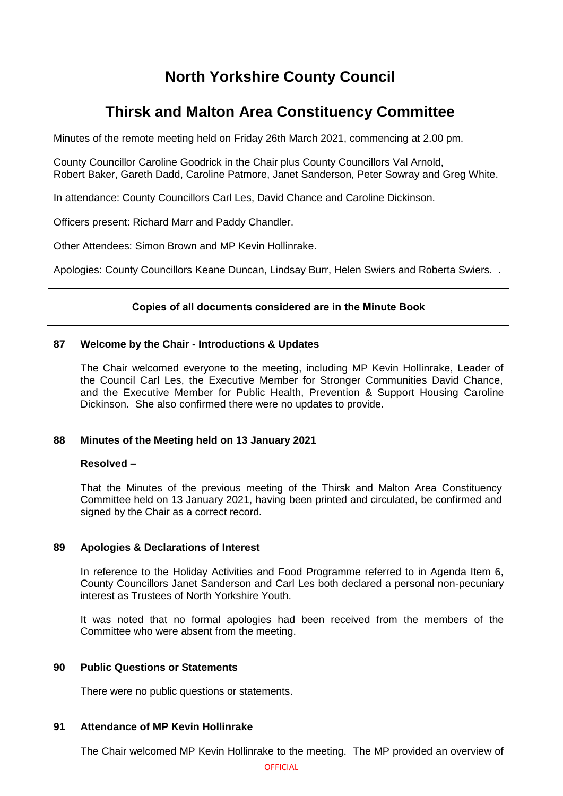# **North Yorkshire County Council**

# **Thirsk and Malton Area Constituency Committee**

Minutes of the remote meeting held on Friday 26th March 2021, commencing at 2.00 pm.

County Councillor Caroline Goodrick in the Chair plus County Councillors Val Arnold, Robert Baker, Gareth Dadd, Caroline Patmore, Janet Sanderson, Peter Sowray and Greg White.

In attendance: County Councillors Carl Les, David Chance and Caroline Dickinson.

Officers present: Richard Marr and Paddy Chandler.

Other Attendees: Simon Brown and MP Kevin Hollinrake.

Apologies: County Councillors Keane Duncan, Lindsay Burr, Helen Swiers and Roberta Swiers. .

# **Copies of all documents considered are in the Minute Book**

### **87 Welcome by the Chair - Introductions & Updates**

The Chair welcomed everyone to the meeting, including MP Kevin Hollinrake, Leader of the Council Carl Les, the Executive Member for Stronger Communities David Chance, and the Executive Member for Public Health, Prevention & Support Housing Caroline Dickinson. She also confirmed there were no updates to provide.

# **88 Minutes of the Meeting held on 13 January 2021**

#### **Resolved –**

That the Minutes of the previous meeting of the Thirsk and Malton Area Constituency Committee held on 13 January 2021, having been printed and circulated, be confirmed and signed by the Chair as a correct record.

#### **89 Apologies & Declarations of Interest**

In reference to the Holiday Activities and Food Programme referred to in Agenda Item 6, County Councillors Janet Sanderson and Carl Les both declared a personal non-pecuniary interest as Trustees of North Yorkshire Youth.

It was noted that no formal apologies had been received from the members of the Committee who were absent from the meeting.

## **90 Public Questions or Statements**

There were no public questions or statements.

## **91 Attendance of MP Kevin Hollinrake**

The Chair welcomed MP Kevin Hollinrake to the meeting. The MP provided an overview of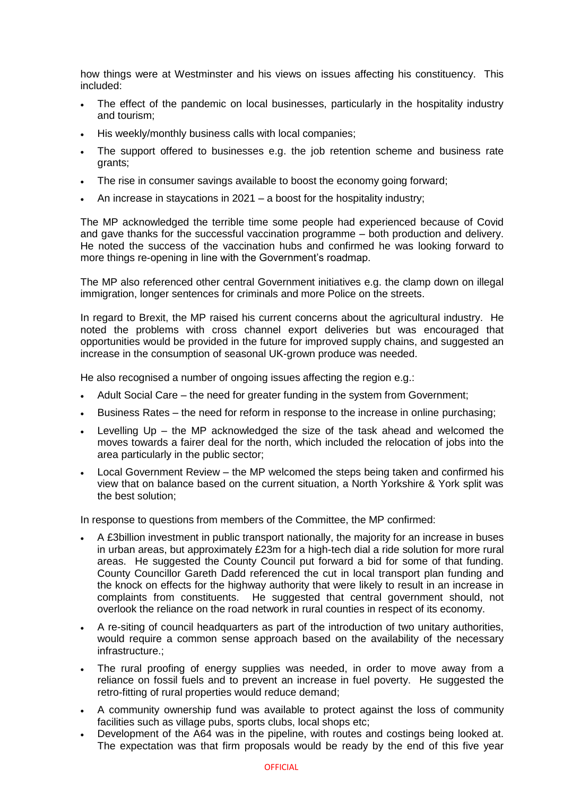how things were at Westminster and his views on issues affecting his constituency. This included:

- The effect of the pandemic on local businesses, particularly in the hospitality industry and tourism;
- His weekly/monthly business calls with local companies;
- The support offered to businesses e.g. the job retention scheme and business rate grants;
- The rise in consumer savings available to boost the economy going forward;
- An increase in staycations in 2021 a boost for the hospitality industry;

The MP acknowledged the terrible time some people had experienced because of Covid and gave thanks for the successful vaccination programme – both production and delivery. He noted the success of the vaccination hubs and confirmed he was looking forward to more things re-opening in line with the Government's roadmap.

The MP also referenced other central Government initiatives e.g. the clamp down on illegal immigration, longer sentences for criminals and more Police on the streets.

In regard to Brexit, the MP raised his current concerns about the agricultural industry. He noted the problems with cross channel export deliveries but was encouraged that opportunities would be provided in the future for improved supply chains, and suggested an increase in the consumption of seasonal UK-grown produce was needed.

He also recognised a number of ongoing issues affecting the region e.g.:

- Adult Social Care the need for greater funding in the system from Government;
- Business Rates the need for reform in response to the increase in online purchasing;
- Levelling Up the MP acknowledged the size of the task ahead and welcomed the moves towards a fairer deal for the north, which included the relocation of jobs into the area particularly in the public sector;
- Local Government Review the MP welcomed the steps being taken and confirmed his view that on balance based on the current situation, a North Yorkshire & York split was the best solution;

In response to questions from members of the Committee, the MP confirmed:

- A £3billion investment in public transport nationally, the majority for an increase in buses in urban areas, but approximately £23m for a high-tech dial a ride solution for more rural areas. He suggested the County Council put forward a bid for some of that funding. County Councillor Gareth Dadd referenced the cut in local transport plan funding and the knock on effects for the highway authority that were likely to result in an increase in complaints from constituents. He suggested that central government should, not overlook the reliance on the road network in rural counties in respect of its economy.
- A re-siting of council headquarters as part of the introduction of two unitary authorities, would require a common sense approach based on the availability of the necessary infrastructure.;
- The rural proofing of energy supplies was needed, in order to move away from a reliance on fossil fuels and to prevent an increase in fuel poverty. He suggested the retro-fitting of rural properties would reduce demand;
- A community ownership fund was available to protect against the loss of community facilities such as village pubs, sports clubs, local shops etc;
- Development of the A64 was in the pipeline, with routes and costings being looked at. The expectation was that firm proposals would be ready by the end of this five year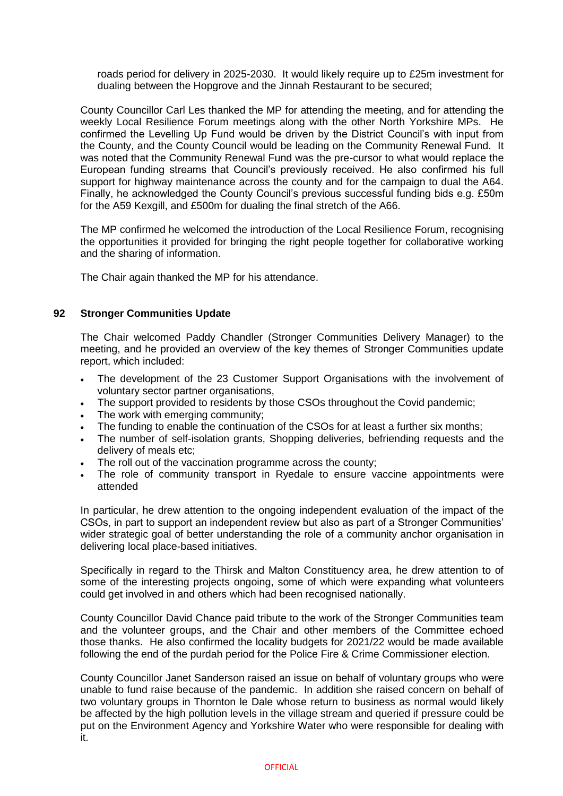roads period for delivery in 2025-2030. It would likely require up to £25m investment for dualing between the Hopgrove and the Jinnah Restaurant to be secured;

County Councillor Carl Les thanked the MP for attending the meeting, and for attending the weekly Local Resilience Forum meetings along with the other North Yorkshire MPs. He confirmed the Levelling Up Fund would be driven by the District Council's with input from the County, and the County Council would be leading on the Community Renewal Fund. It was noted that the Community Renewal Fund was the pre-cursor to what would replace the European funding streams that Council's previously received. He also confirmed his full support for highway maintenance across the county and for the campaign to dual the A64. Finally, he acknowledged the County Council's previous successful funding bids e.g. £50m for the A59 Kexgill, and £500m for dualing the final stretch of the A66.

The MP confirmed he welcomed the introduction of the Local Resilience Forum, recognising the opportunities it provided for bringing the right people together for collaborative working and the sharing of information.

The Chair again thanked the MP for his attendance.

# **92 Stronger Communities Update**

The Chair welcomed Paddy Chandler (Stronger Communities Delivery Manager) to the meeting, and he provided an overview of the key themes of Stronger Communities update report, which included:

- The development of the 23 Customer Support Organisations with the involvement of voluntary sector partner organisations,
- The support provided to residents by those CSOs throughout the Covid pandemic;
- The work with emerging community;
- The funding to enable the continuation of the CSOs for at least a further six months;
- The number of self-isolation grants, Shopping deliveries, befriending requests and the delivery of meals etc;
- The roll out of the vaccination programme across the county;
- The role of community transport in Ryedale to ensure vaccine appointments were attended

In particular, he drew attention to the ongoing independent evaluation of the impact of the CSOs, in part to support an independent review but also as part of a Stronger Communities' wider strategic goal of better understanding the role of a community anchor organisation in delivering local place-based initiatives.

Specifically in regard to the Thirsk and Malton Constituency area, he drew attention to of some of the interesting projects ongoing, some of which were expanding what volunteers could get involved in and others which had been recognised nationally.

County Councillor David Chance paid tribute to the work of the Stronger Communities team and the volunteer groups, and the Chair and other members of the Committee echoed those thanks. He also confirmed the locality budgets for 2021/22 would be made available following the end of the purdah period for the Police Fire & Crime Commissioner election.

County Councillor Janet Sanderson raised an issue on behalf of voluntary groups who were unable to fund raise because of the pandemic. In addition she raised concern on behalf of two voluntary groups in Thornton le Dale whose return to business as normal would likely be affected by the high pollution levels in the village stream and queried if pressure could be put on the Environment Agency and Yorkshire Water who were responsible for dealing with it.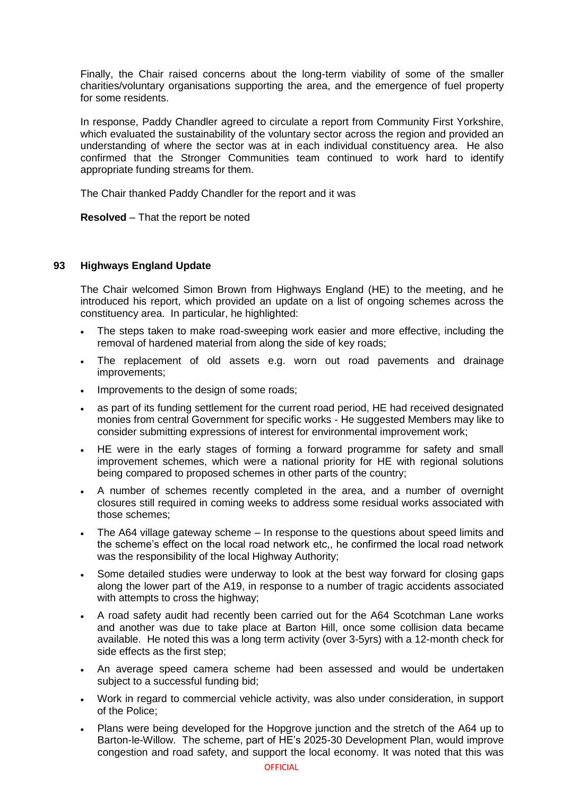Finally, the Chair raised concerns about the long-term viability of some of the smaller charities/voluntary organisations supporting the area, and the emergence of fuel property for some residents.

In response, Paddy Chandler agreed to circulate a report from Community First Yorkshire, which evaluated the sustainability of the voluntary sector across the region and provided an understanding of where the sector was at in each individual constituency area. He also confirmed that the Stronger Communities team continued to work hard to identify appropriate funding streams for them.

The Chair thanked Paddy Chandler for the report and it was

**Resolved** – That the report be noted

# **93 Highways England Update**

The Chair welcomed Simon Brown from Highways England (HE) to the meeting, and he introduced his report, which provided an update on a list of ongoing schemes across the constituency area. In particular, he highlighted:

- The steps taken to make road-sweeping work easier and more effective, including the removal of hardened material from along the side of key roads;
- The replacement of old assets e.g. worn out road pavements and drainage improvements;
- Improvements to the design of some roads;
- as part of its funding settlement for the current road period, HE had received designated monies from central Government for specific works - He suggested Members may like to consider submitting expressions of interest for environmental improvement work;
- HE were in the early stages of forming a forward programme for safety and small improvement schemes, which were a national priority for HE with regional solutions being compared to proposed schemes in other parts of the country;
- A number of schemes recently completed in the area, and a number of overnight closures still required in coming weeks to address some residual works associated with those schemes;
- The A64 village gateway scheme In response to the questions about speed limits and the scheme's effect on the local road network etc,, he confirmed the local road network was the responsibility of the local Highway Authority;
- Some detailed studies were underway to look at the best way forward for closing gaps along the lower part of the A19, in response to a number of tragic accidents associated with attempts to cross the highway;
- A road safety audit had recently been carried out for the A64 Scotchman Lane works and another was due to take place at Barton Hill, once some collision data became available. He noted this was a long term activity (over 3-5yrs) with a 12-month check for side effects as the first step;
- An average speed camera scheme had been assessed and would be undertaken subject to a successful funding bid;
- Work in regard to commercial vehicle activity, was also under consideration, in support of the Police;
- Plans were being developed for the Hopgrove junction and the stretch of the A64 up to Barton-le-Willow. The scheme, part of HE's 2025-30 Development Plan, would improve congestion and road safety, and support the local economy. It was noted that this was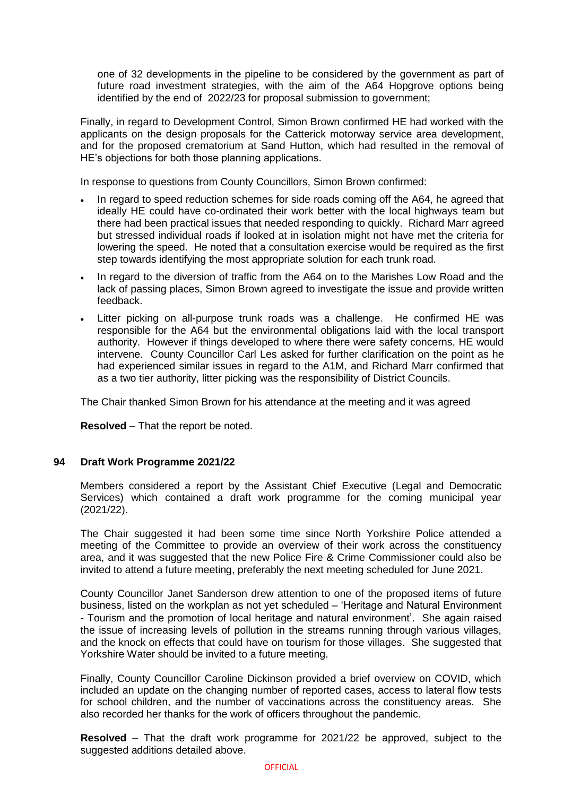one of 32 developments in the pipeline to be considered by the government as part of future road investment strategies, with the aim of the A64 Hopgrove options being identified by the end of 2022/23 for proposal submission to government;

Finally, in regard to Development Control, Simon Brown confirmed HE had worked with the applicants on the design proposals for the Catterick motorway service area development, and for the proposed crematorium at Sand Hutton, which had resulted in the removal of HE's objections for both those planning applications.

In response to questions from County Councillors, Simon Brown confirmed:

- In regard to speed reduction schemes for side roads coming off the A64, he agreed that ideally HE could have co-ordinated their work better with the local highways team but there had been practical issues that needed responding to quickly. Richard Marr agreed but stressed individual roads if looked at in isolation might not have met the criteria for lowering the speed. He noted that a consultation exercise would be required as the first step towards identifying the most appropriate solution for each trunk road.
- In regard to the diversion of traffic from the A64 on to the Marishes Low Road and the lack of passing places, Simon Brown agreed to investigate the issue and provide written feedback.
- Litter picking on all-purpose trunk roads was a challenge. He confirmed HE was responsible for the A64 but the environmental obligations laid with the local transport authority. However if things developed to where there were safety concerns, HE would intervene. County Councillor Carl Les asked for further clarification on the point as he had experienced similar issues in regard to the A1M, and Richard Marr confirmed that as a two tier authority, litter picking was the responsibility of District Councils.

The Chair thanked Simon Brown for his attendance at the meeting and it was agreed

**Resolved** – That the report be noted.

#### **94 Draft Work Programme 2021/22**

Members considered a report by the Assistant Chief Executive (Legal and Democratic Services) which contained a draft work programme for the coming municipal year (2021/22).

The Chair suggested it had been some time since North Yorkshire Police attended a meeting of the Committee to provide an overview of their work across the constituency area, and it was suggested that the new Police Fire & Crime Commissioner could also be invited to attend a future meeting, preferably the next meeting scheduled for June 2021.

County Councillor Janet Sanderson drew attention to one of the proposed items of future business, listed on the workplan as not yet scheduled – 'Heritage and Natural Environment - Tourism and the promotion of local heritage and natural environment'. She again raised the issue of increasing levels of pollution in the streams running through various villages, and the knock on effects that could have on tourism for those villages. She suggested that Yorkshire Water should be invited to a future meeting.

Finally, County Councillor Caroline Dickinson provided a brief overview on COVID, which included an update on the changing number of reported cases, access to lateral flow tests for school children, and the number of vaccinations across the constituency areas. She also recorded her thanks for the work of officers throughout the pandemic.

**Resolved** – That the draft work programme for 2021/22 be approved, subject to the suggested additions detailed above.